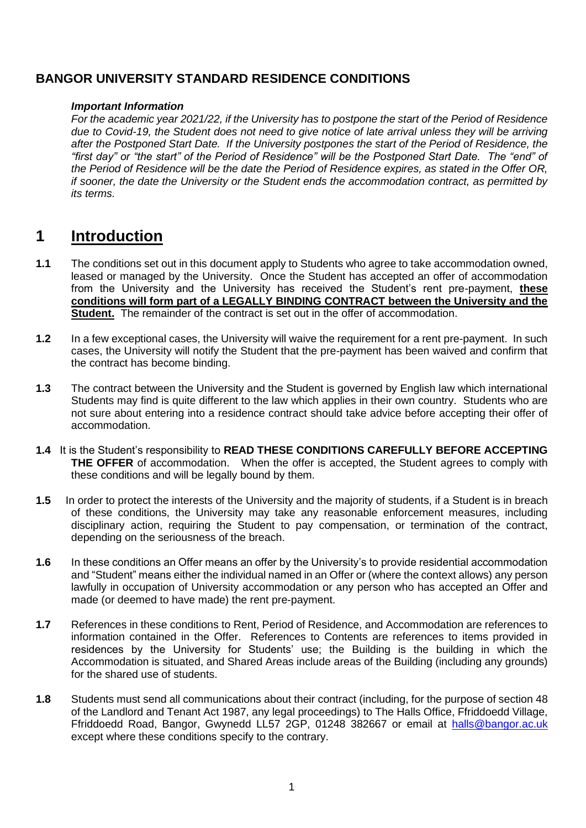# **BANGOR UNIVERSITY STANDARD RESIDENCE CONDITIONS**

### *Important Information*

*For the academic year 2021/22, if the University has to postpone the start of the Period of Residence due to Covid-19, the Student does not need to give notice of late arrival unless they will be arriving after the Postponed Start Date. If the University postpones the start of the Period of Residence, the "first day" or "the start" of the Period of Residence" will be the Postponed Start Date. The "end" of the Period of Residence will be the date the Period of Residence expires, as stated in the Offer OR, if sooner, the date the University or the Student ends the accommodation contract, as permitted by its terms.*

# **1 Introduction**

- **1.1** The conditions set out in this document apply to Students who agree to take accommodation owned, leased or managed by the University. Once the Student has accepted an offer of accommodation from the University and the University has received the Student's rent pre-payment, **these conditions will form part of a LEGALLY BINDING CONTRACT between the University and the Student.** The remainder of the contract is set out in the offer of accommodation.
- **1.2** In a few exceptional cases, the University will waive the requirement for a rent pre-payment. In such cases, the University will notify the Student that the pre-payment has been waived and confirm that the contract has become binding.
- **1.3** The contract between the University and the Student is governed by English law which international Students may find is quite different to the law which applies in their own country. Students who are not sure about entering into a residence contract should take advice before accepting their offer of accommodation.
- **1.4** It is the Student's responsibility to **READ THESE CONDITIONS CAREFULLY BEFORE ACCEPTING THE OFFER** of accommodation. When the offer is accepted, the Student agrees to comply with these conditions and will be legally bound by them.
- **1.5** In order to protect the interests of the University and the majority of students, if a Student is in breach of these conditions, the University may take any reasonable enforcement measures, including disciplinary action, requiring the Student to pay compensation, or termination of the contract, depending on the seriousness of the breach.
- **1.6** In these conditions an Offer means an offer by the University's to provide residential accommodation and "Student" means either the individual named in an Offer or (where the context allows) any person lawfully in occupation of University accommodation or any person who has accepted an Offer and made (or deemed to have made) the rent pre-payment.
- **1.7** References in these conditions to Rent, Period of Residence, and Accommodation are references to information contained in the Offer. References to Contents are references to items provided in residences by the University for Students' use; the Building is the building in which the Accommodation is situated, and Shared Areas include areas of the Building (including any grounds) for the shared use of students.
- **1.8** Students must send all communications about their contract (including, for the purpose of section 48 of the Landlord and Tenant Act 1987, any legal proceedings) to The Halls Office, Ffriddoedd Village, Ffriddoedd Road, Bangor, Gwynedd LL57 2GP, 01248 382667 or email at [halls@bangor.ac.uk](mailto:halls@bangor.ac.uk) except where these conditions specify to the contrary.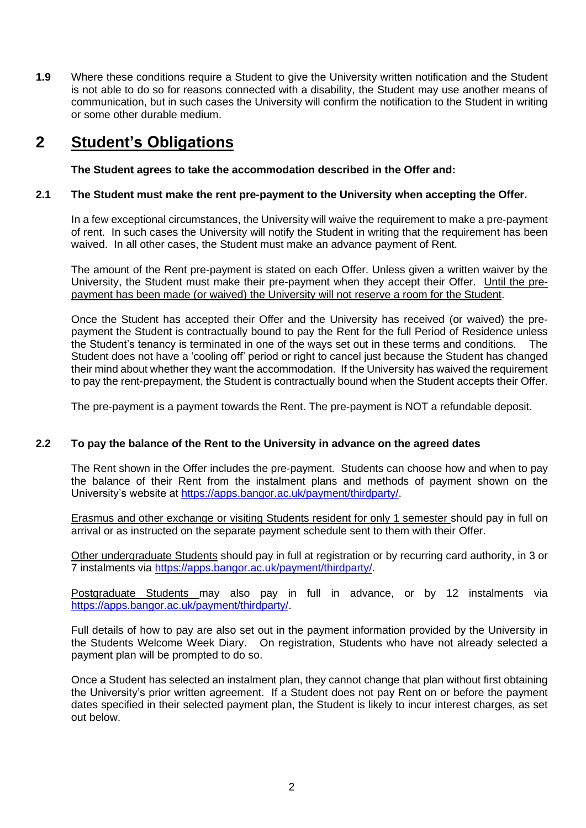**1.9** Where these conditions require a Student to give the University written notification and the Student is not able to do so for reasons connected with a disability, the Student may use another means of communication, but in such cases the University will confirm the notification to the Student in writing or some other durable medium.

# **2 Student's Obligations**

**The Student agrees to take the accommodation described in the Offer and:**

# **2.1 The Student must make the rent pre-payment to the University when accepting the Offer.**

In a few exceptional circumstances, the University will waive the requirement to make a pre-payment of rent. In such cases the University will notify the Student in writing that the requirement has been waived. In all other cases, the Student must make an advance payment of Rent.

The amount of the Rent pre-payment is stated on each Offer. Unless given a written waiver by the University, the Student must make their pre-payment when they accept their Offer. Until the prepayment has been made (or waived) the University will not reserve a room for the Student.

Once the Student has accepted their Offer and the University has received (or waived) the prepayment the Student is contractually bound to pay the Rent for the full Period of Residence unless the Student's tenancy is terminated in one of the ways set out in these terms and conditions. The Student does not have a 'cooling off' period or right to cancel just because the Student has changed their mind about whether they want the accommodation. If the University has waived the requirement to pay the rent-prepayment, the Student is contractually bound when the Student accepts their Offer.

The pre-payment is a payment towards the Rent. The pre-payment is NOT a refundable deposit.

# **2.2 To pay the balance of the Rent to the University in advance on the agreed dates**

The Rent shown in the Offer includes the pre-payment. Students can choose how and when to pay the balance of their Rent from the instalment plans and methods of payment shown on the University's website at https://apps.bangor.ac.uk/payment/thirdparty/

Erasmus and other exchange or visiting Students resident for only 1 semester should pay in full on arrival or as instructed on the separate payment schedule sent to them with their Offer.

Other undergraduate Students should pay in full at registration or by recurring card authority, in 3 or 7 instalments via [https://apps.bangor.ac.uk/payment/thirdparty/.](https://apps.bangor.ac.uk/payment/thirdparty/)

Postgraduate Students may also pay in full in advance, or by 12 instalments via [https://apps.bangor.ac.uk/payment/thirdparty/.](https://apps.bangor.ac.uk/payment/thirdparty/)

Full details of how to pay are also set out in the payment information provided by the University in the Students Welcome Week Diary. On registration, Students who have not already selected a payment plan will be prompted to do so.

Once a Student has selected an instalment plan, they cannot change that plan without first obtaining the University's prior written agreement. If a Student does not pay Rent on or before the payment dates specified in their selected payment plan, the Student is likely to incur interest charges, as set out below.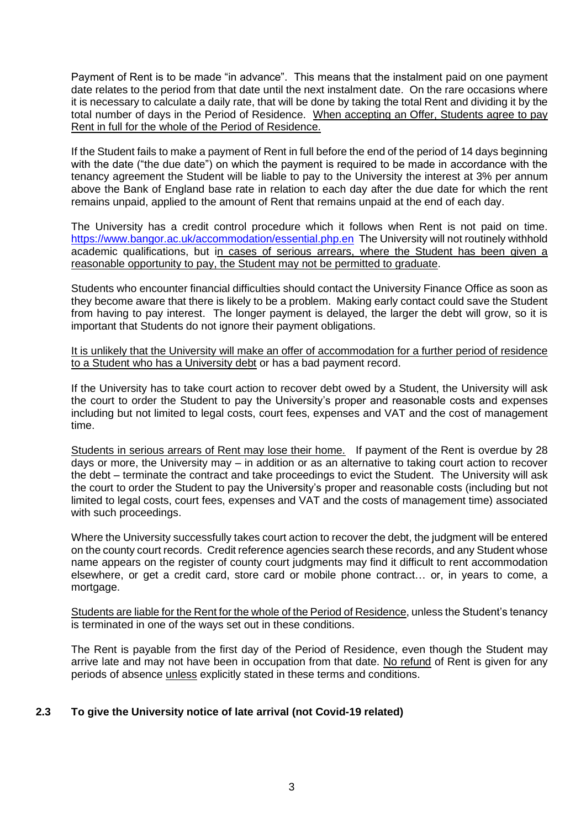Payment of Rent is to be made "in advance". This means that the instalment paid on one payment date relates to the period from that date until the next instalment date. On the rare occasions where it is necessary to calculate a daily rate, that will be done by taking the total Rent and dividing it by the total number of days in the Period of Residence. When accepting an Offer, Students agree to pay Rent in full for the whole of the Period of Residence.

If the Student fails to make a payment of Rent in full before the end of the period of 14 days beginning with the date ("the due date") on which the payment is required to be made in accordance with the tenancy agreement the Student will be liable to pay to the University the interest at 3% per annum above the Bank of England base rate in relation to each day after the due date for which the rent remains unpaid, applied to the amount of Rent that remains unpaid at the end of each day.

The University has a credit control procedure which it follows when Rent is not paid on time. <https://www.bangor.ac.uk/accommodation/essential.php.en>The University will not routinely withhold academic qualifications, but in cases of serious arrears, where the Student has been given a reasonable opportunity to pay, the Student may not be permitted to graduate.

Students who encounter financial difficulties should contact the University Finance Office as soon as they become aware that there is likely to be a problem. Making early contact could save the Student from having to pay interest. The longer payment is delayed, the larger the debt will grow, so it is important that Students do not ignore their payment obligations.

It is unlikely that the University will make an offer of accommodation for a further period of residence to a Student who has a University debt or has a bad payment record.

If the University has to take court action to recover debt owed by a Student, the University will ask the court to order the Student to pay the University's proper and reasonable costs and expenses including but not limited to legal costs, court fees, expenses and VAT and the cost of management time.

Students in serious arrears of Rent may lose their home. If payment of the Rent is overdue by 28 days or more, the University may – in addition or as an alternative to taking court action to recover the debt – terminate the contract and take proceedings to evict the Student. The University will ask the court to order the Student to pay the University's proper and reasonable costs (including but not limited to legal costs, court fees, expenses and VAT and the costs of management time) associated with such proceedings.

Where the University successfully takes court action to recover the debt, the judgment will be entered on the county court records. Credit reference agencies search these records, and any Student whose name appears on the register of county court judgments may find it difficult to rent accommodation elsewhere, or get a credit card, store card or mobile phone contract… or, in years to come, a mortgage.

Students are liable for the Rent for the whole of the Period of Residence, unless the Student's tenancy is terminated in one of the ways set out in these conditions.

The Rent is payable from the first day of the Period of Residence, even though the Student may arrive late and may not have been in occupation from that date. No refund of Rent is given for any periods of absence unless explicitly stated in these terms and conditions.

# **2.3 To give the University notice of late arrival (not Covid-19 related)**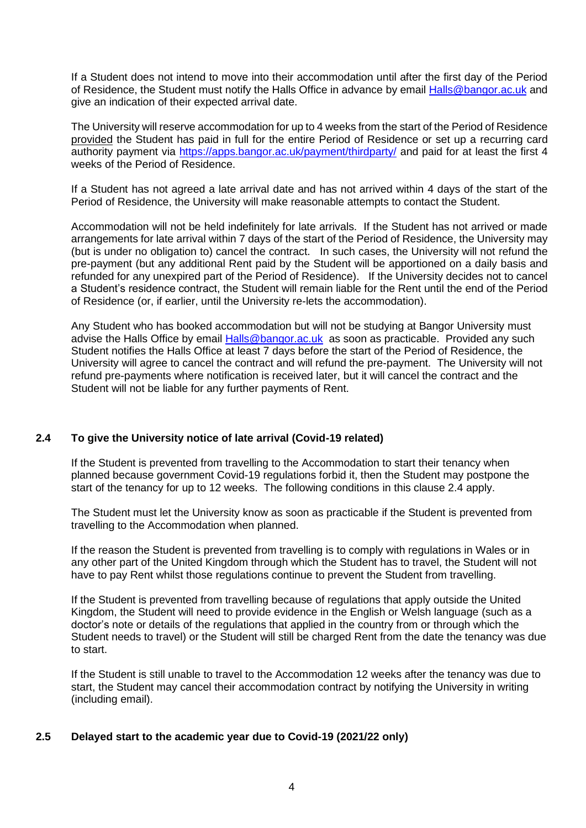If a Student does not intend to move into their accommodation until after the first day of the Period of Residence, the Student must notify the Halls Office in advance by email **Halls@bangor.ac.uk** and give an indication of their expected arrival date.

The University will reserve accommodation for up to 4 weeks from the start of the Period of Residence provided the Student has paid in full for the entire Period of Residence or set up a recurring card authority payment via<https://apps.bangor.ac.uk/payment/thirdparty/> and paid for at least the first 4 weeks of the Period of Residence.

If a Student has not agreed a late arrival date and has not arrived within 4 days of the start of the Period of Residence, the University will make reasonable attempts to contact the Student.

Accommodation will not be held indefinitely for late arrivals. If the Student has not arrived or made arrangements for late arrival within 7 days of the start of the Period of Residence, the University may (but is under no obligation to) cancel the contract. In such cases, the University will not refund the pre-payment (but any additional Rent paid by the Student will be apportioned on a daily basis and refunded for any unexpired part of the Period of Residence). If the University decides not to cancel a Student's residence contract, the Student will remain liable for the Rent until the end of the Period of Residence (or, if earlier, until the University re-lets the accommodation).

Any Student who has booked accommodation but will not be studying at Bangor University must advise the Halls Office by email [Halls@bangor.ac.uk](mailto:Halls@bangor.ac.uk) as soon as practicable. Provided any such Student notifies the Halls Office at least 7 days before the start of the Period of Residence, the University will agree to cancel the contract and will refund the pre-payment. The University will not refund pre-payments where notification is received later, but it will cancel the contract and the Student will not be liable for any further payments of Rent.

# **2.4 To give the University notice of late arrival (Covid-19 related)**

If the Student is prevented from travelling to the Accommodation to start their tenancy when planned because government Covid-19 regulations forbid it, then the Student may postpone the start of the tenancy for up to 12 weeks. The following conditions in this clause 2.4 apply.

The Student must let the University know as soon as practicable if the Student is prevented from travelling to the Accommodation when planned.

If the reason the Student is prevented from travelling is to comply with regulations in Wales or in any other part of the United Kingdom through which the Student has to travel, the Student will not have to pay Rent whilst those regulations continue to prevent the Student from travelling.

If the Student is prevented from travelling because of regulations that apply outside the United Kingdom, the Student will need to provide evidence in the English or Welsh language (such as a doctor's note or details of the regulations that applied in the country from or through which the Student needs to travel) or the Student will still be charged Rent from the date the tenancy was due to start.

If the Student is still unable to travel to the Accommodation 12 weeks after the tenancy was due to start, the Student may cancel their accommodation contract by notifying the University in writing (including email).

# **2.5 Delayed start to the academic year due to Covid-19 (2021/22 only)**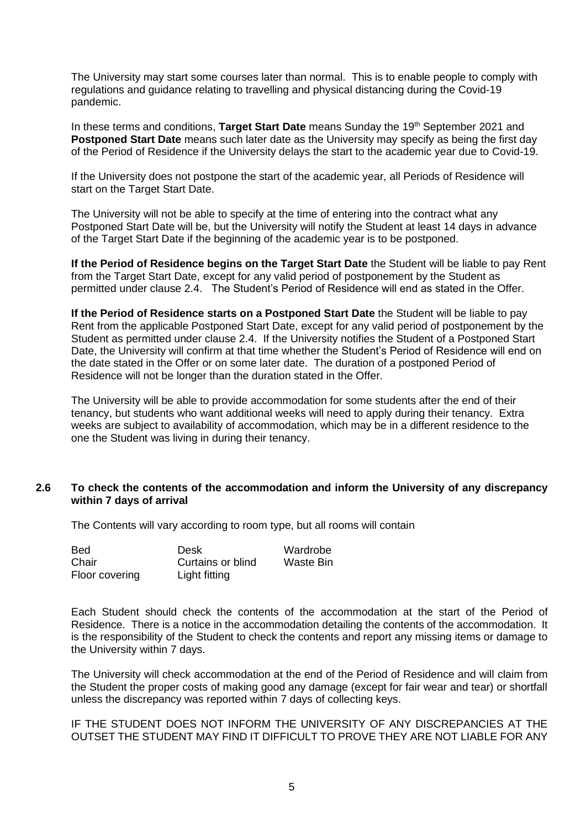The University may start some courses later than normal. This is to enable people to comply with regulations and guidance relating to travelling and physical distancing during the Covid-19 pandemic.

In these terms and conditions. **Target Start Date** means Sunday the 19th September 2021 and **Postponed Start Date** means such later date as the University may specify as being the first day of the Period of Residence if the University delays the start to the academic year due to Covid-19.

If the University does not postpone the start of the academic year, all Periods of Residence will start on the Target Start Date.

The University will not be able to specify at the time of entering into the contract what any Postponed Start Date will be, but the University will notify the Student at least 14 days in advance of the Target Start Date if the beginning of the academic year is to be postponed.

**If the Period of Residence begins on the Target Start Date** the Student will be liable to pay Rent from the Target Start Date, except for any valid period of postponement by the Student as permitted under clause 2.4. The Student's Period of Residence will end as stated in the Offer.

**If the Period of Residence starts on a Postponed Start Date** the Student will be liable to pay Rent from the applicable Postponed Start Date, except for any valid period of postponement by the Student as permitted under clause 2.4. If the University notifies the Student of a Postponed Start Date, the University will confirm at that time whether the Student's Period of Residence will end on the date stated in the Offer or on some later date. The duration of a postponed Period of Residence will not be longer than the duration stated in the Offer.

The University will be able to provide accommodation for some students after the end of their tenancy, but students who want additional weeks will need to apply during their tenancy. Extra weeks are subject to availability of accommodation, which may be in a different residence to the one the Student was living in during their tenancy.

#### **2.6 To check the contents of the accommodation and inform the University of any discrepancy within 7 days of arrival**

The Contents will vary according to room type, but all rooms will contain

| <b>Bed</b>     | Desk              | Wardrobe  |
|----------------|-------------------|-----------|
| Chair          | Curtains or blind | Waste Bin |
| Floor covering | Light fitting     |           |

Each Student should check the contents of the accommodation at the start of the Period of Residence. There is a notice in the accommodation detailing the contents of the accommodation. It is the responsibility of the Student to check the contents and report any missing items or damage to the University within 7 days.

The University will check accommodation at the end of the Period of Residence and will claim from the Student the proper costs of making good any damage (except for fair wear and tear) or shortfall unless the discrepancy was reported within 7 days of collecting keys.

IF THE STUDENT DOES NOT INFORM THE UNIVERSITY OF ANY DISCREPANCIES AT THE OUTSET THE STUDENT MAY FIND IT DIFFICULT TO PROVE THEY ARE NOT LIABLE FOR ANY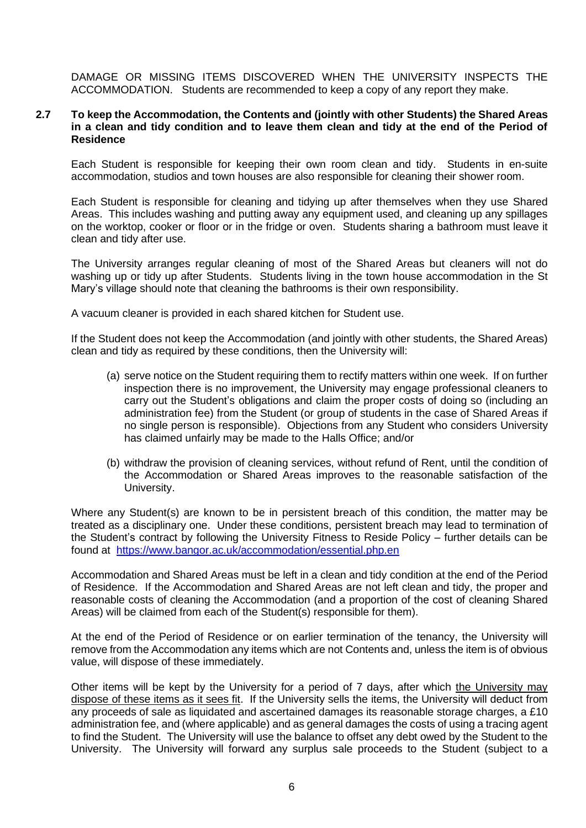DAMAGE OR MISSING ITEMS DISCOVERED WHEN THE UNIVERSITY INSPECTS THE ACCOMMODATION. Students are recommended to keep a copy of any report they make.

#### **2.7 To keep the Accommodation, the Contents and (jointly with other Students) the Shared Areas in a clean and tidy condition and to leave them clean and tidy at the end of the Period of Residence**

Each Student is responsible for keeping their own room clean and tidy. Students in en-suite accommodation, studios and town houses are also responsible for cleaning their shower room.

Each Student is responsible for cleaning and tidying up after themselves when they use Shared Areas. This includes washing and putting away any equipment used, and cleaning up any spillages on the worktop, cooker or floor or in the fridge or oven. Students sharing a bathroom must leave it clean and tidy after use.

The University arranges regular cleaning of most of the Shared Areas but cleaners will not do washing up or tidy up after Students. Students living in the town house accommodation in the St Mary's village should note that cleaning the bathrooms is their own responsibility.

A vacuum cleaner is provided in each shared kitchen for Student use.

If the Student does not keep the Accommodation (and jointly with other students, the Shared Areas) clean and tidy as required by these conditions, then the University will:

- (a) serve notice on the Student requiring them to rectify matters within one week. If on further inspection there is no improvement, the University may engage professional cleaners to carry out the Student's obligations and claim the proper costs of doing so (including an administration fee) from the Student (or group of students in the case of Shared Areas if no single person is responsible). Objections from any Student who considers University has claimed unfairly may be made to the Halls Office; and/or
- (b) withdraw the provision of cleaning services, without refund of Rent, until the condition of the Accommodation or Shared Areas improves to the reasonable satisfaction of the University.

Where any Student(s) are known to be in persistent breach of this condition, the matter may be treated as a disciplinary one. Under these conditions, persistent breach may lead to termination of the Student's contract by following the University Fitness to Reside Policy – further details can be found at <https://www.bangor.ac.uk/accommodation/essential.php.en>

Accommodation and Shared Areas must be left in a clean and tidy condition at the end of the Period of Residence. If the Accommodation and Shared Areas are not left clean and tidy, the proper and reasonable costs of cleaning the Accommodation (and a proportion of the cost of cleaning Shared Areas) will be claimed from each of the Student(s) responsible for them).

At the end of the Period of Residence or on earlier termination of the tenancy, the University will remove from the Accommodation any items which are not Contents and, unless the item is of obvious value, will dispose of these immediately.

Other items will be kept by the University for a period of 7 days, after which the University may dispose of these items as it sees fit. If the University sells the items, the University will deduct from any proceeds of sale as liquidated and ascertained damages its reasonable storage charges, a £10 administration fee, and (where applicable) and as general damages the costs of using a tracing agent to find the Student. The University will use the balance to offset any debt owed by the Student to the University. The University will forward any surplus sale proceeds to the Student (subject to a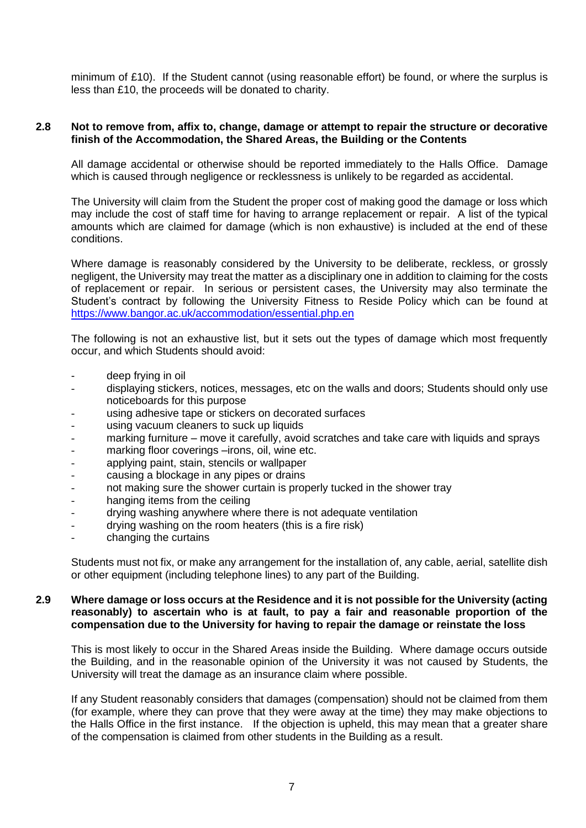minimum of £10). If the Student cannot (using reasonable effort) be found, or where the surplus is less than £10, the proceeds will be donated to charity.

#### **2.8 Not to remove from, affix to, change, damage or attempt to repair the structure or decorative finish of the Accommodation, the Shared Areas, the Building or the Contents**

All damage accidental or otherwise should be reported immediately to the Halls Office. Damage which is caused through negligence or recklessness is unlikely to be regarded as accidental.

The University will claim from the Student the proper cost of making good the damage or loss which may include the cost of staff time for having to arrange replacement or repair. A list of the typical amounts which are claimed for damage (which is non exhaustive) is included at the end of these conditions.

Where damage is reasonably considered by the University to be deliberate, reckless, or grossly negligent, the University may treat the matter as a disciplinary one in addition to claiming for the costs of replacement or repair. In serious or persistent cases, the University may also terminate the Student's contract by following the University Fitness to Reside Policy which can be found at <https://www.bangor.ac.uk/accommodation/essential.php.en>

The following is not an exhaustive list, but it sets out the types of damage which most frequently occur, and which Students should avoid:

- deep frying in oil
- displaying stickers, notices, messages, etc on the walls and doors; Students should only use noticeboards for this purpose
- using adhesive tape or stickers on decorated surfaces
- using vacuum cleaners to suck up liquids
- marking furniture move it carefully, avoid scratches and take care with liquids and sprays
- marking floor coverings –irons, oil, wine etc.
- applying paint, stain, stencils or wallpaper
- causing a blockage in any pipes or drains
- not making sure the shower curtain is properly tucked in the shower tray
- hanging items from the ceiling
- drying washing anywhere where there is not adequate ventilation
- drying washing on the room heaters (this is a fire risk)
- changing the curtains

Students must not fix, or make any arrangement for the installation of, any cable, aerial, satellite dish or other equipment (including telephone lines) to any part of the Building.

#### **2.9 Where damage or loss occurs at the Residence and it is not possible for the University (acting reasonably) to ascertain who is at fault, to pay a fair and reasonable proportion of the compensation due to the University for having to repair the damage or reinstate the loss**

This is most likely to occur in the Shared Areas inside the Building. Where damage occurs outside the Building, and in the reasonable opinion of the University it was not caused by Students, the University will treat the damage as an insurance claim where possible.

If any Student reasonably considers that damages (compensation) should not be claimed from them (for example, where they can prove that they were away at the time) they may make objections to the Halls Office in the first instance. If the objection is upheld, this may mean that a greater share of the compensation is claimed from other students in the Building as a result.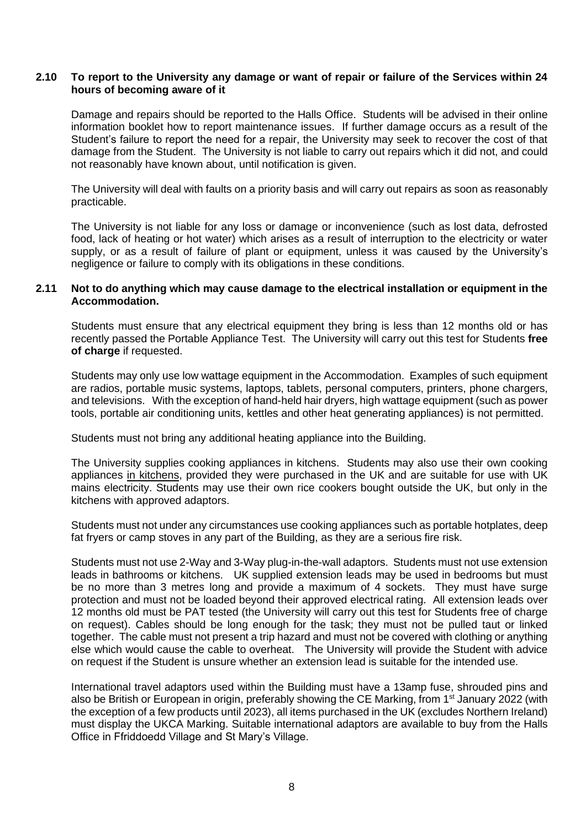#### **2.10 To report to the University any damage or want of repair or failure of the Services within 24 hours of becoming aware of it**

Damage and repairs should be reported to the Halls Office. Students will be advised in their online information booklet how to report maintenance issues. If further damage occurs as a result of the Student's failure to report the need for a repair, the University may seek to recover the cost of that damage from the Student. The University is not liable to carry out repairs which it did not, and could not reasonably have known about, until notification is given.

The University will deal with faults on a priority basis and will carry out repairs as soon as reasonably practicable.

The University is not liable for any loss or damage or inconvenience (such as lost data, defrosted food, lack of heating or hot water) which arises as a result of interruption to the electricity or water supply, or as a result of failure of plant or equipment, unless it was caused by the University's negligence or failure to comply with its obligations in these conditions.

#### **2.11 Not to do anything which may cause damage to the electrical installation or equipment in the Accommodation.**

Students must ensure that any electrical equipment they bring is less than 12 months old or has recently passed the Portable Appliance Test. The University will carry out this test for Students **free of charge** if requested.

Students may only use low wattage equipment in the Accommodation. Examples of such equipment are radios, portable music systems, laptops, tablets, personal computers, printers, phone chargers, and televisions. With the exception of hand-held hair dryers, high wattage equipment (such as power tools, portable air conditioning units, kettles and other heat generating appliances) is not permitted.

Students must not bring any additional heating appliance into the Building.

The University supplies cooking appliances in kitchens. Students may also use their own cooking appliances in kitchens, provided they were purchased in the UK and are suitable for use with UK mains electricity. Students may use their own rice cookers bought outside the UK, but only in the kitchens with approved adaptors.

Students must not under any circumstances use cooking appliances such as portable hotplates, deep fat fryers or camp stoves in any part of the Building, as they are a serious fire risk.

Students must not use 2-Way and 3-Way plug-in-the-wall adaptors. Students must not use extension leads in bathrooms or kitchens. UK supplied extension leads may be used in bedrooms but must be no more than 3 metres long and provide a maximum of 4 sockets. They must have surge protection and must not be loaded beyond their approved electrical rating. All extension leads over 12 months old must be PAT tested (the University will carry out this test for Students free of charge on request). Cables should be long enough for the task; they must not be pulled taut or linked together. The cable must not present a trip hazard and must not be covered with clothing or anything else which would cause the cable to overheat. The University will provide the Student with advice on request if the Student is unsure whether an extension lead is suitable for the intended use.

International travel adaptors used within the Building must have a 13amp fuse, shrouded pins and also be British or European in origin, preferably showing the CE Marking, from 1<sup>st</sup> January 2022 (with the exception of a few products until 2023), all items purchased in the UK (excludes Northern Ireland) must display the UKCA Marking. Suitable international adaptors are available to buy from the Halls Office in Ffriddoedd Village and St Mary's Village.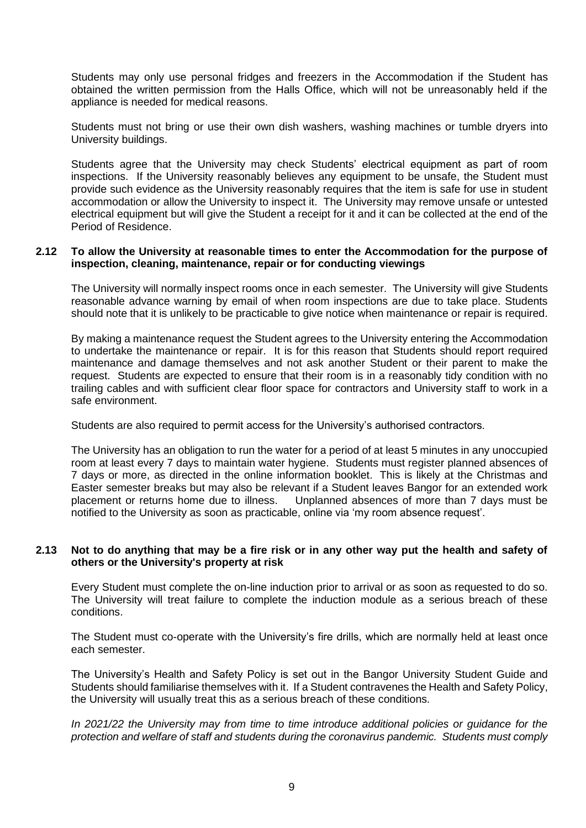Students may only use personal fridges and freezers in the Accommodation if the Student has obtained the written permission from the Halls Office, which will not be unreasonably held if the appliance is needed for medical reasons.

Students must not bring or use their own dish washers, washing machines or tumble dryers into University buildings.

Students agree that the University may check Students' electrical equipment as part of room inspections. If the University reasonably believes any equipment to be unsafe, the Student must provide such evidence as the University reasonably requires that the item is safe for use in student accommodation or allow the University to inspect it. The University may remove unsafe or untested electrical equipment but will give the Student a receipt for it and it can be collected at the end of the Period of Residence.

#### **2.12 To allow the University at reasonable times to enter the Accommodation for the purpose of inspection, cleaning, maintenance, repair or for conducting viewings**

The University will normally inspect rooms once in each semester. The University will give Students reasonable advance warning by email of when room inspections are due to take place. Students should note that it is unlikely to be practicable to give notice when maintenance or repair is required.

By making a maintenance request the Student agrees to the University entering the Accommodation to undertake the maintenance or repair. It is for this reason that Students should report required maintenance and damage themselves and not ask another Student or their parent to make the request. Students are expected to ensure that their room is in a reasonably tidy condition with no trailing cables and with sufficient clear floor space for contractors and University staff to work in a safe environment.

Students are also required to permit access for the University's authorised contractors.

The University has an obligation to run the water for a period of at least 5 minutes in any unoccupied room at least every 7 days to maintain water hygiene. Students must register planned absences of 7 days or more, as directed in the online information booklet. This is likely at the Christmas and Easter semester breaks but may also be relevant if a Student leaves Bangor for an extended work placement or returns home due to illness. Unplanned absences of more than 7 days must be notified to the University as soon as practicable, online via 'my room absence request'.

#### **2.13 Not to do anything that may be a fire risk or in any other way put the health and safety of others or the University's property at risk**

Every Student must complete the on-line induction prior to arrival or as soon as requested to do so. The University will treat failure to complete the induction module as a serious breach of these conditions.

The Student must co-operate with the University's fire drills, which are normally held at least once each semester.

The University's Health and Safety Policy is set out in the Bangor University Student Guide and Students should familiarise themselves with it. If a Student contravenes the Health and Safety Policy, the University will usually treat this as a serious breach of these conditions.

*In 2021/22 the University may from time to time introduce additional policies or guidance for the protection and welfare of staff and students during the coronavirus pandemic. Students must comply*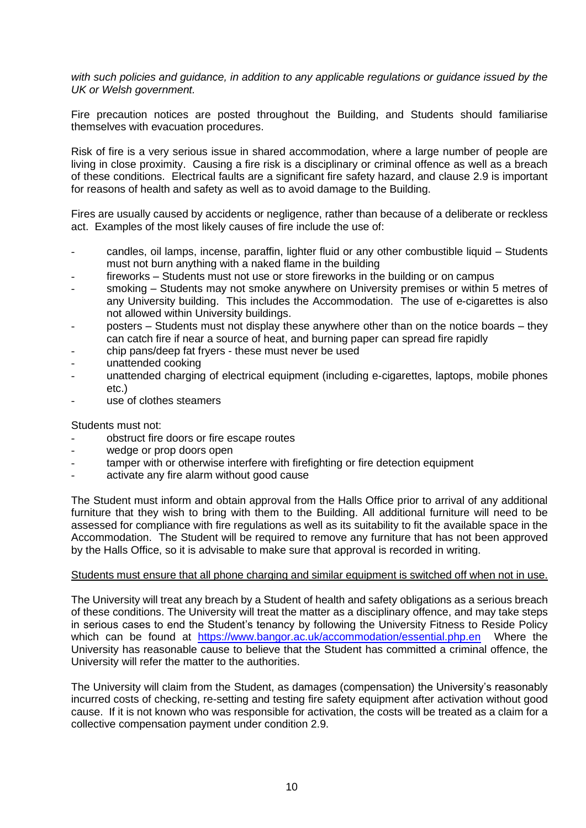*with such policies and guidance, in addition to any applicable regulations or guidance issued by the UK or Welsh government.*

Fire precaution notices are posted throughout the Building, and Students should familiarise themselves with evacuation procedures.

Risk of fire is a very serious issue in shared accommodation, where a large number of people are living in close proximity. Causing a fire risk is a disciplinary or criminal offence as well as a breach of these conditions. Electrical faults are a significant fire safety hazard, and clause 2.9 is important for reasons of health and safety as well as to avoid damage to the Building.

Fires are usually caused by accidents or negligence, rather than because of a deliberate or reckless act. Examples of the most likely causes of fire include the use of:

- candles, oil lamps, incense, paraffin, lighter fluid or any other combustible liquid Students must not burn anything with a naked flame in the building
- fireworks Students must not use or store fireworks in the building or on campus
- smoking Students may not smoke anywhere on University premises or within 5 metres of any University building. This includes the Accommodation. The use of e-cigarettes is also not allowed within University buildings.
- posters Students must not display these anywhere other than on the notice boards they can catch fire if near a source of heat, and burning paper can spread fire rapidly
- chip pans/deep fat fryers these must never be used
- unattended cooking
- unattended charging of electrical equipment (including e-cigarettes, laptops, mobile phones etc.)
- use of clothes steamers

Students must not:

- obstruct fire doors or fire escape routes
- wedge or prop doors open
- tamper with or otherwise interfere with firefighting or fire detection equipment
- activate any fire alarm without good cause

The Student must inform and obtain approval from the Halls Office prior to arrival of any additional furniture that they wish to bring with them to the Building. All additional furniture will need to be assessed for compliance with fire regulations as well as its suitability to fit the available space in the Accommodation. The Student will be required to remove any furniture that has not been approved by the Halls Office, so it is advisable to make sure that approval is recorded in writing.

#### Students must ensure that all phone charging and similar equipment is switched off when not in use.

The University will treat any breach by a Student of health and safety obligations as a serious breach of these conditions. The University will treat the matter as a disciplinary offence, and may take steps in serious cases to end the Student's tenancy by following the University Fitness to Reside Policy which can be found at <https://www.bangor.ac.uk/accommodation/essential.php.en>Where the University has reasonable cause to believe that the Student has committed a criminal offence, the University will refer the matter to the authorities.

The University will claim from the Student, as damages (compensation) the University's reasonably incurred costs of checking, re-setting and testing fire safety equipment after activation without good cause. If it is not known who was responsible for activation, the costs will be treated as a claim for a collective compensation payment under condition 2.9.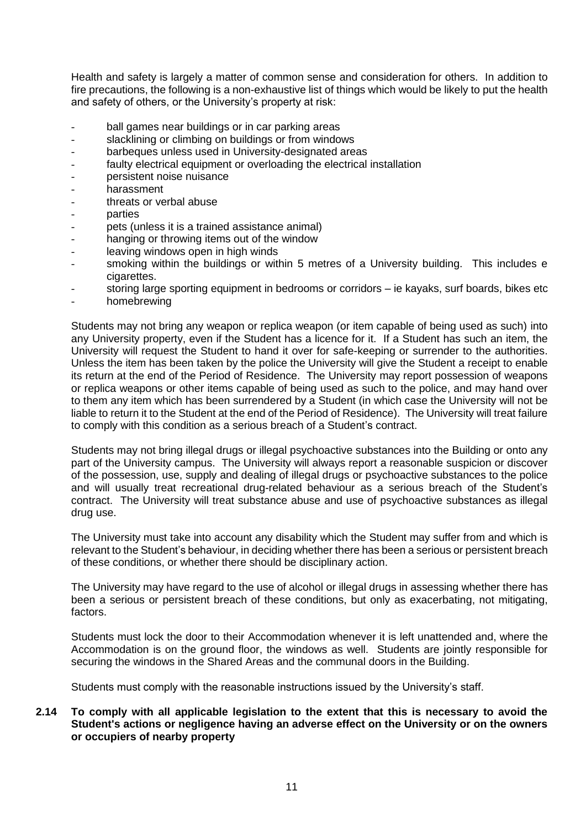Health and safety is largely a matter of common sense and consideration for others. In addition to fire precautions, the following is a non-exhaustive list of things which would be likely to put the health and safety of others, or the University's property at risk:

- ball games near buildings or in car parking areas
- slacklining or climbing on buildings or from windows
- barbeques unless used in University-designated areas
- faulty electrical equipment or overloading the electrical installation
- persistent noise nuisance
- harassment
- threats or verbal abuse
- parties
- pets (unless it is a trained assistance animal)
- hanging or throwing items out of the window
- leaving windows open in high winds
- smoking within the buildings or within 5 metres of a University building. This includes e cigarettes.
- storing large sporting equipment in bedrooms or corridors ie kayaks, surf boards, bikes etc
- homebrewing

Students may not bring any weapon or replica weapon (or item capable of being used as such) into any University property, even if the Student has a licence for it. If a Student has such an item, the University will request the Student to hand it over for safe-keeping or surrender to the authorities. Unless the item has been taken by the police the University will give the Student a receipt to enable its return at the end of the Period of Residence. The University may report possession of weapons or replica weapons or other items capable of being used as such to the police, and may hand over to them any item which has been surrendered by a Student (in which case the University will not be liable to return it to the Student at the end of the Period of Residence). The University will treat failure to comply with this condition as a serious breach of a Student's contract.

Students may not bring illegal drugs or illegal psychoactive substances into the Building or onto any part of the University campus. The University will always report a reasonable suspicion or discover of the possession, use, supply and dealing of illegal drugs or psychoactive substances to the police and will usually treat recreational drug-related behaviour as a serious breach of the Student's contract. The University will treat substance abuse and use of psychoactive substances as illegal drug use.

The University must take into account any disability which the Student may suffer from and which is relevant to the Student's behaviour, in deciding whether there has been a serious or persistent breach of these conditions, or whether there should be disciplinary action.

The University may have regard to the use of alcohol or illegal drugs in assessing whether there has been a serious or persistent breach of these conditions, but only as exacerbating, not mitigating, factors.

Students must lock the door to their Accommodation whenever it is left unattended and, where the Accommodation is on the ground floor, the windows as well. Students are jointly responsible for securing the windows in the Shared Areas and the communal doors in the Building.

Students must comply with the reasonable instructions issued by the University's staff.

### **2.14 To comply with all applicable legislation to the extent that this is necessary to avoid the Student's actions or negligence having an adverse effect on the University or on the owners or occupiers of nearby property**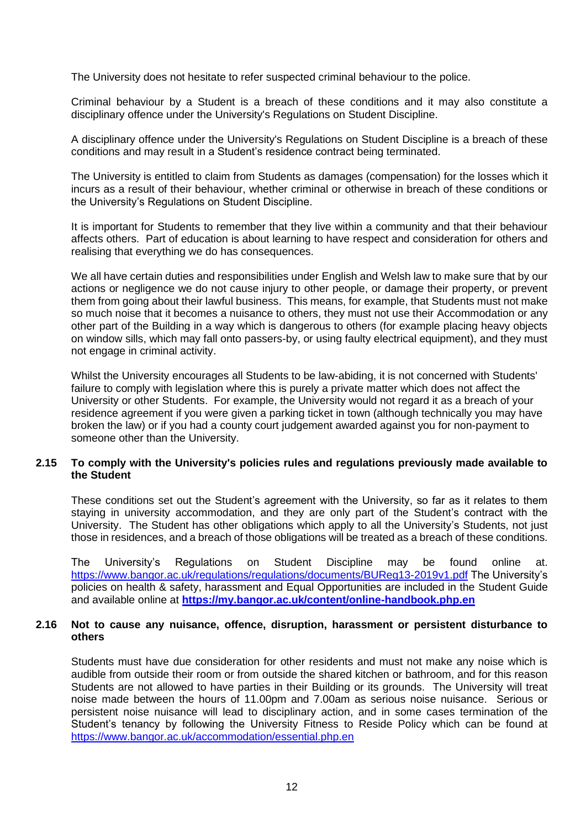The University does not hesitate to refer suspected criminal behaviour to the police.

Criminal behaviour by a Student is a breach of these conditions and it may also constitute a disciplinary offence under the University's Regulations on Student Discipline.

A disciplinary offence under the University's Regulations on Student Discipline is a breach of these conditions and may result in a Student's residence contract being terminated.

The University is entitled to claim from Students as damages (compensation) for the losses which it incurs as a result of their behaviour, whether criminal or otherwise in breach of these conditions or the University's Regulations on Student Discipline.

It is important for Students to remember that they live within a community and that their behaviour affects others. Part of education is about learning to have respect and consideration for others and realising that everything we do has consequences.

We all have certain duties and responsibilities under English and Welsh law to make sure that by our actions or negligence we do not cause injury to other people, or damage their property, or prevent them from going about their lawful business. This means, for example, that Students must not make so much noise that it becomes a nuisance to others, they must not use their Accommodation or any other part of the Building in a way which is dangerous to others (for example placing heavy objects on window sills, which may fall onto passers-by, or using faulty electrical equipment), and they must not engage in criminal activity.

Whilst the University encourages all Students to be law-abiding, it is not concerned with Students' failure to comply with legislation where this is purely a private matter which does not affect the University or other Students. For example, the University would not regard it as a breach of your residence agreement if you were given a parking ticket in town (although technically you may have broken the law) or if you had a county court judgement awarded against you for non-payment to someone other than the University.

#### **2.15 To comply with the University's policies rules and regulations previously made available to the Student**

These conditions set out the Student's agreement with the University, so far as it relates to them staying in university accommodation, and they are only part of the Student's contract with the University. The Student has other obligations which apply to all the University's Students, not just those in residences, and a breach of those obligations will be treated as a breach of these conditions.

The University's Regulations on Student Discipline may be found online at. <https://www.bangor.ac.uk/regulations/regulations/documents/BUReg13-2019v1.pdf> The University's policies on health & safety, harassment and Equal Opportunities are included in the Student Guide and available online at **<https://my.bangor.ac.uk/content/online-handbook.php.en>**

#### **2.16 Not to cause any nuisance, offence, disruption, harassment or persistent disturbance to others**

Students must have due consideration for other residents and must not make any noise which is audible from outside their room or from outside the shared kitchen or bathroom, and for this reason Students are not allowed to have parties in their Building or its grounds. The University will treat noise made between the hours of 11.00pm and 7.00am as serious noise nuisance. Serious or persistent noise nuisance will lead to disciplinary action, and in some cases termination of the Student's tenancy by following the University Fitness to Reside Policy which can be found at <https://www.bangor.ac.uk/accommodation/essential.php.en>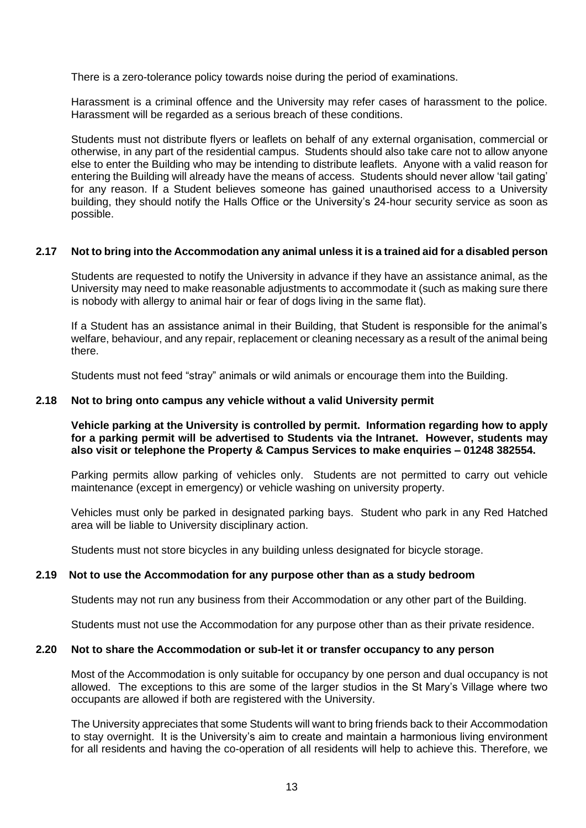There is a zero-tolerance policy towards noise during the period of examinations.

Harassment is a criminal offence and the University may refer cases of harassment to the police. Harassment will be regarded as a serious breach of these conditions.

Students must not distribute flyers or leaflets on behalf of any external organisation, commercial or otherwise, in any part of the residential campus. Students should also take care not to allow anyone else to enter the Building who may be intending to distribute leaflets. Anyone with a valid reason for entering the Building will already have the means of access. Students should never allow 'tail gating' for any reason. If a Student believes someone has gained unauthorised access to a University building, they should notify the Halls Office or the University's 24-hour security service as soon as possible.

# **2.17 Not to bring into the Accommodation any animal unless it is a trained aid for a disabled person**

Students are requested to notify the University in advance if they have an assistance animal, as the University may need to make reasonable adjustments to accommodate it (such as making sure there is nobody with allergy to animal hair or fear of dogs living in the same flat).

If a Student has an assistance animal in their Building, that Student is responsible for the animal's welfare, behaviour, and any repair, replacement or cleaning necessary as a result of the animal being there.

Students must not feed "stray" animals or wild animals or encourage them into the Building.

#### **2.18 Not to bring onto campus any vehicle without a valid University permit**

**Vehicle parking at the University is controlled by permit. Information regarding how to apply for a parking permit will be advertised to Students via the Intranet. However, students may also visit or telephone the Property & Campus Services to make enquiries – 01248 382554.**

Parking permits allow parking of vehicles only. Students are not permitted to carry out vehicle maintenance (except in emergency) or vehicle washing on university property.

Vehicles must only be parked in designated parking bays. Student who park in any Red Hatched area will be liable to University disciplinary action.

Students must not store bicycles in any building unless designated for bicycle storage.

#### **2.19 Not to use the Accommodation for any purpose other than as a study bedroom**

Students may not run any business from their Accommodation or any other part of the Building.

Students must not use the Accommodation for any purpose other than as their private residence.

#### **2.20 Not to share the Accommodation or sub-let it or transfer occupancy to any person**

Most of the Accommodation is only suitable for occupancy by one person and dual occupancy is not allowed. The exceptions to this are some of the larger studios in the St Mary's Village where two occupants are allowed if both are registered with the University.

The University appreciates that some Students will want to bring friends back to their Accommodation to stay overnight. It is the University's aim to create and maintain a harmonious living environment for all residents and having the co-operation of all residents will help to achieve this. Therefore, we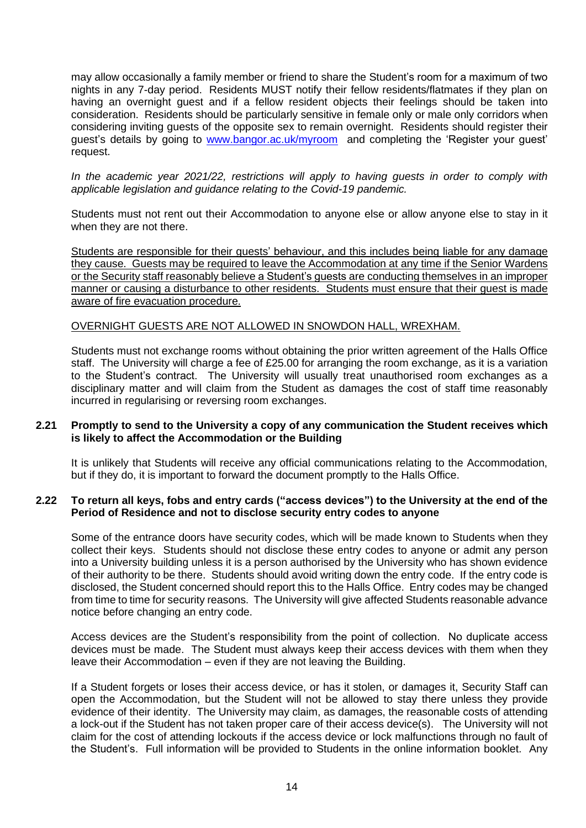may allow occasionally a family member or friend to share the Student's room for a maximum of two nights in any 7-day period. Residents MUST notify their fellow residents/flatmates if they plan on having an overnight guest and if a fellow resident objects their feelings should be taken into consideration. Residents should be particularly sensitive in female only or male only corridors when considering inviting guests of the opposite sex to remain overnight. Residents should register their guest's details by going to [www.bangor.ac.uk/myroom](http://www.bangor.ac.uk/myroom) and completing the 'Register your guest' request.

*In the academic year 2021/22, restrictions will apply to having guests in order to comply with applicable legislation and guidance relating to the Covid-19 pandemic.*

Students must not rent out their Accommodation to anyone else or allow anyone else to stay in it when they are not there.

Students are responsible for their guests' behaviour, and this includes being liable for any damage they cause. Guests may be required to leave the Accommodation at any time if the Senior Wardens or the Security staff reasonably believe a Student's guests are conducting themselves in an improper manner or causing a disturbance to other residents. Students must ensure that their guest is made aware of fire evacuation procedure.

#### OVERNIGHT GUESTS ARE NOT ALLOWED IN SNOWDON HALL, WREXHAM.

Students must not exchange rooms without obtaining the prior written agreement of the Halls Office staff. The University will charge a fee of £25.00 for arranging the room exchange, as it is a variation to the Student's contract. The University will usually treat unauthorised room exchanges as a disciplinary matter and will claim from the Student as damages the cost of staff time reasonably incurred in regularising or reversing room exchanges.

#### **2.21 Promptly to send to the University a copy of any communication the Student receives which is likely to affect the Accommodation or the Building**

It is unlikely that Students will receive any official communications relating to the Accommodation, but if they do, it is important to forward the document promptly to the Halls Office.

#### **2.22 To return all keys, fobs and entry cards ("access devices") to the University at the end of the Period of Residence and not to disclose security entry codes to anyone**

Some of the entrance doors have security codes, which will be made known to Students when they collect their keys. Students should not disclose these entry codes to anyone or admit any person into a University building unless it is a person authorised by the University who has shown evidence of their authority to be there. Students should avoid writing down the entry code. If the entry code is disclosed, the Student concerned should report this to the Halls Office. Entry codes may be changed from time to time for security reasons. The University will give affected Students reasonable advance notice before changing an entry code.

Access devices are the Student's responsibility from the point of collection. No duplicate access devices must be made. The Student must always keep their access devices with them when they leave their Accommodation – even if they are not leaving the Building.

If a Student forgets or loses their access device, or has it stolen, or damages it, Security Staff can open the Accommodation, but the Student will not be allowed to stay there unless they provide evidence of their identity. The University may claim, as damages, the reasonable costs of attending a lock-out if the Student has not taken proper care of their access device(s). The University will not claim for the cost of attending lockouts if the access device or lock malfunctions through no fault of the Student's. Full information will be provided to Students in the online information booklet. Any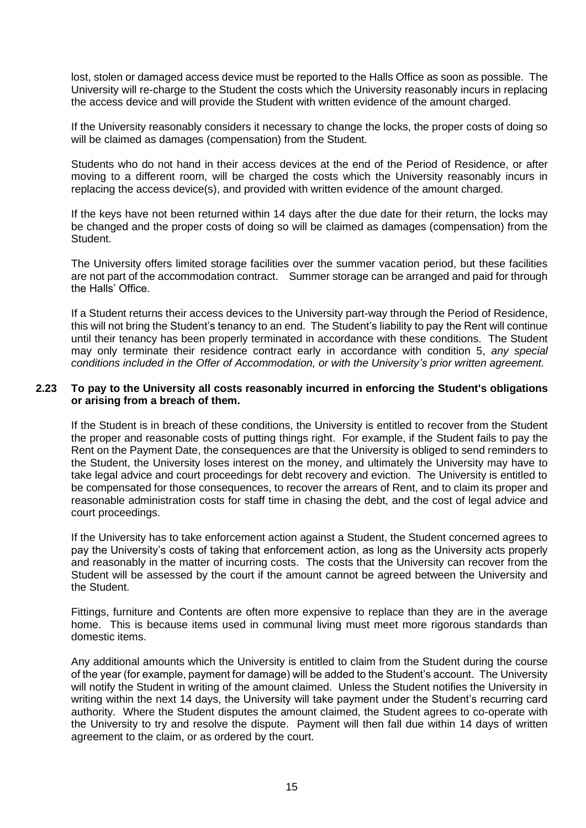lost, stolen or damaged access device must be reported to the Halls Office as soon as possible. The University will re-charge to the Student the costs which the University reasonably incurs in replacing the access device and will provide the Student with written evidence of the amount charged.

If the University reasonably considers it necessary to change the locks, the proper costs of doing so will be claimed as damages (compensation) from the Student.

Students who do not hand in their access devices at the end of the Period of Residence, or after moving to a different room, will be charged the costs which the University reasonably incurs in replacing the access device(s), and provided with written evidence of the amount charged.

If the keys have not been returned within 14 days after the due date for their return, the locks may be changed and the proper costs of doing so will be claimed as damages (compensation) from the Student.

The University offers limited storage facilities over the summer vacation period, but these facilities are not part of the accommodation contract. Summer storage can be arranged and paid for through the Halls' Office.

If a Student returns their access devices to the University part-way through the Period of Residence, this will not bring the Student's tenancy to an end. The Student's liability to pay the Rent will continue until their tenancy has been properly terminated in accordance with these conditions. The Student may only terminate their residence contract early in accordance with condition 5, *any special conditions included in the Offer of Accommodation, or with the University's prior written agreement.*

### **2.23 To pay to the University all costs reasonably incurred in enforcing the Student's obligations or arising from a breach of them.**

If the Student is in breach of these conditions, the University is entitled to recover from the Student the proper and reasonable costs of putting things right. For example, if the Student fails to pay the Rent on the Payment Date, the consequences are that the University is obliged to send reminders to the Student, the University loses interest on the money, and ultimately the University may have to take legal advice and court proceedings for debt recovery and eviction. The University is entitled to be compensated for those consequences, to recover the arrears of Rent, and to claim its proper and reasonable administration costs for staff time in chasing the debt, and the cost of legal advice and court proceedings.

If the University has to take enforcement action against a Student, the Student concerned agrees to pay the University's costs of taking that enforcement action, as long as the University acts properly and reasonably in the matter of incurring costs. The costs that the University can recover from the Student will be assessed by the court if the amount cannot be agreed between the University and the Student.

Fittings, furniture and Contents are often more expensive to replace than they are in the average home. This is because items used in communal living must meet more rigorous standards than domestic items.

Any additional amounts which the University is entitled to claim from the Student during the course of the year (for example, payment for damage) will be added to the Student's account. The University will notify the Student in writing of the amount claimed. Unless the Student notifies the University in writing within the next 14 days, the University will take payment under the Student's recurring card authority. Where the Student disputes the amount claimed, the Student agrees to co-operate with the University to try and resolve the dispute. Payment will then fall due within 14 days of written agreement to the claim, or as ordered by the court.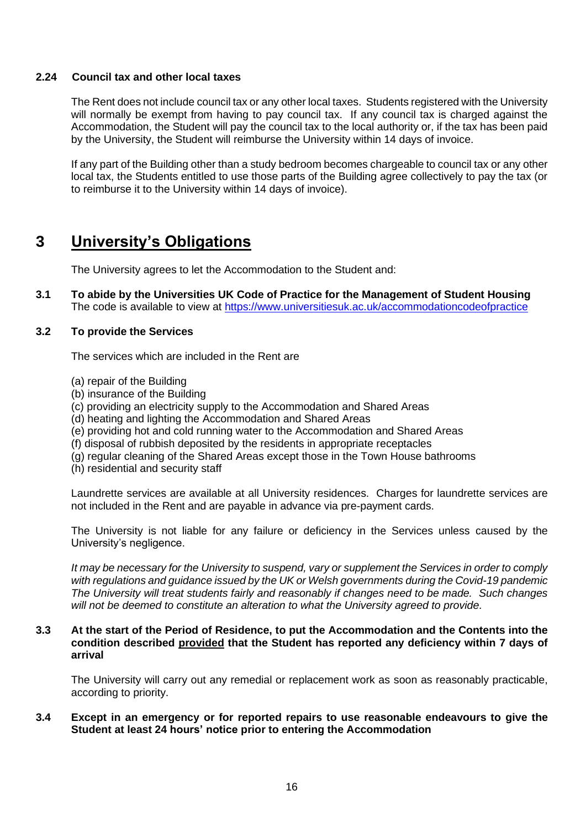#### **2.24 Council tax and other local taxes**

The Rent does not include council tax or any other local taxes. Students registered with the University will normally be exempt from having to pay council tax. If any council tax is charged against the Accommodation, the Student will pay the council tax to the local authority or, if the tax has been paid by the University, the Student will reimburse the University within 14 days of invoice.

If any part of the Building other than a study bedroom becomes chargeable to council tax or any other local tax, the Students entitled to use those parts of the Building agree collectively to pay the tax (or to reimburse it to the University within 14 days of invoice).

# **3 University's Obligations**

The University agrees to let the Accommodation to the Student and:

**3.1 To abide by the Universities UK Code of Practice for the Management of Student Housing** The code is available to view at <https://www.universitiesuk.ac.uk/accommodationcodeofpractice>

#### **3.2 To provide the Services**

The services which are included in the Rent are

- (a) repair of the Building
- (b) insurance of the Building
- (c) providing an electricity supply to the Accommodation and Shared Areas
- (d) heating and lighting the Accommodation and Shared Areas
- (e) providing hot and cold running water to the Accommodation and Shared Areas
- (f) disposal of rubbish deposited by the residents in appropriate receptacles
- (g) regular cleaning of the Shared Areas except those in the Town House bathrooms
- (h) residential and security staff

Laundrette services are available at all University residences. Charges for laundrette services are not included in the Rent and are payable in advance via pre-payment cards.

The University is not liable for any failure or deficiency in the Services unless caused by the University's negligence.

*It may be necessary for the University to suspend, vary or supplement the Services in order to comply with regulations and guidance issued by the UK or Welsh governments during the Covid-19 pandemic The University will treat students fairly and reasonably if changes need to be made. Such changes will not be deemed to constitute an alteration to what the University agreed to provide.*

#### **3.3 At the start of the Period of Residence, to put the Accommodation and the Contents into the condition described provided that the Student has reported any deficiency within 7 days of arrival**

The University will carry out any remedial or replacement work as soon as reasonably practicable, according to priority.

#### **3.4 Except in an emergency or for reported repairs to use reasonable endeavours to give the Student at least 24 hours' notice prior to entering the Accommodation**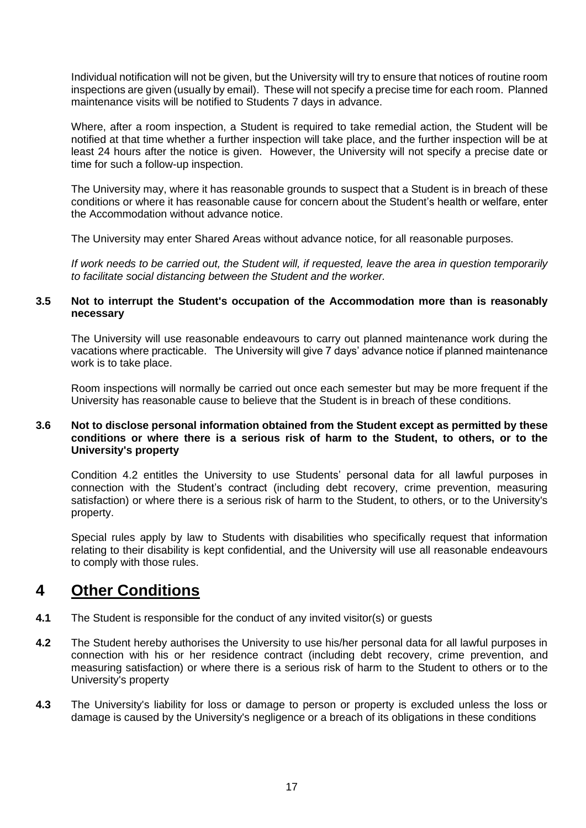Individual notification will not be given, but the University will try to ensure that notices of routine room inspections are given (usually by email). These will not specify a precise time for each room. Planned maintenance visits will be notified to Students 7 days in advance.

Where, after a room inspection, a Student is required to take remedial action, the Student will be notified at that time whether a further inspection will take place, and the further inspection will be at least 24 hours after the notice is given. However, the University will not specify a precise date or time for such a follow-up inspection.

The University may, where it has reasonable grounds to suspect that a Student is in breach of these conditions or where it has reasonable cause for concern about the Student's health or welfare, enter the Accommodation without advance notice.

The University may enter Shared Areas without advance notice, for all reasonable purposes.

*If work needs to be carried out, the Student will, if requested, leave the area in question temporarily to facilitate social distancing between the Student and the worker.*

#### **3.5 Not to interrupt the Student's occupation of the Accommodation more than is reasonably necessary**

The University will use reasonable endeavours to carry out planned maintenance work during the vacations where practicable. The University will give 7 days' advance notice if planned maintenance work is to take place.

Room inspections will normally be carried out once each semester but may be more frequent if the University has reasonable cause to believe that the Student is in breach of these conditions.

### **3.6 Not to disclose personal information obtained from the Student except as permitted by these conditions or where there is a serious risk of harm to the Student, to others, or to the University's property**

Condition 4.2 entitles the University to use Students' personal data for all lawful purposes in connection with the Student's contract (including debt recovery, crime prevention, measuring satisfaction) or where there is a serious risk of harm to the Student, to others, or to the University's property.

Special rules apply by law to Students with disabilities who specifically request that information relating to their disability is kept confidential, and the University will use all reasonable endeavours to comply with those rules.

# **4 Other Conditions**

- **4.1** The Student is responsible for the conduct of any invited visitor(s) or guests
- **4.2** The Student hereby authorises the University to use his/her personal data for all lawful purposes in connection with his or her residence contract (including debt recovery, crime prevention, and measuring satisfaction) or where there is a serious risk of harm to the Student to others or to the University's property
- **4.3** The University's liability for loss or damage to person or property is excluded unless the loss or damage is caused by the University's negligence or a breach of its obligations in these conditions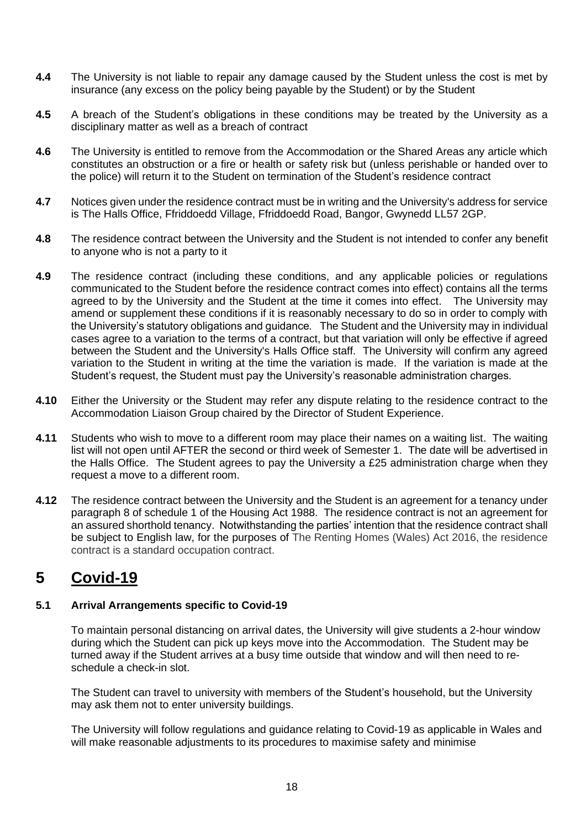- **4.4** The University is not liable to repair any damage caused by the Student unless the cost is met by insurance (any excess on the policy being payable by the Student) or by the Student
- **4.5** A breach of the Student's obligations in these conditions may be treated by the University as a disciplinary matter as well as a breach of contract
- **4.6** The University is entitled to remove from the Accommodation or the Shared Areas any article which constitutes an obstruction or a fire or health or safety risk but (unless perishable or handed over to the police) will return it to the Student on termination of the Student's residence contract
- **4.7** Notices given under the residence contract must be in writing and the University's address for service is The Halls Office, Ffriddoedd Village, Ffriddoedd Road, Bangor, Gwynedd LL57 2GP.
- **4.8** The residence contract between the University and the Student is not intended to confer any benefit to anyone who is not a party to it
- **4.9** The residence contract (including these conditions, and any applicable policies or regulations communicated to the Student before the residence contract comes into effect) contains all the terms agreed to by the University and the Student at the time it comes into effect. The University may amend or supplement these conditions if it is reasonably necessary to do so in order to comply with the University's statutory obligations and guidance*.* The Student and the University may in individual cases agree to a variation to the terms of a contract, but that variation will only be effective if agreed between the Student and the University's Halls Office staff. The University will confirm any agreed variation to the Student in writing at the time the variation is made. If the variation is made at the Student's request, the Student must pay the University's reasonable administration charges.
- **4.10** Either the University or the Student may refer any dispute relating to the residence contract to the Accommodation Liaison Group chaired by the Director of Student Experience.
- **4.11** Students who wish to move to a different room may place their names on a waiting list. The waiting list will not open until AFTER the second or third week of Semester 1. The date will be advertised in the Halls Office. The Student agrees to pay the University a £25 administration charge when they request a move to a different room.
- **4.12** The residence contract between the University and the Student is an agreement for a tenancy under paragraph 8 of schedule 1 of the Housing Act 1988. The residence contract is not an agreement for an assured shorthold tenancy. Notwithstanding the parties' intention that the residence contract shall be subject to English law, for the purposes of The Renting Homes (Wales) Act 2016, the residence contract is a standard occupation contract.

# **5 Covid-19**

# **5.1 Arrival Arrangements specific to Covid-19**

To maintain personal distancing on arrival dates, the University will give students a 2-hour window during which the Student can pick up keys move into the Accommodation. The Student may be turned away if the Student arrives at a busy time outside that window and will then need to reschedule a check-in slot.

The Student can travel to university with members of the Student's household, but the University may ask them not to enter university buildings.

The University will follow regulations and guidance relating to Covid-19 as applicable in Wales and will make reasonable adjustments to its procedures to maximise safety and minimise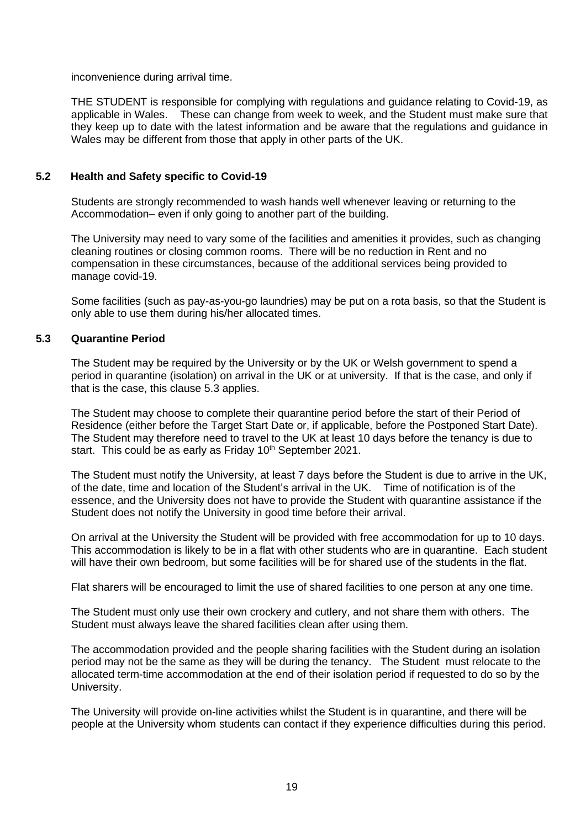inconvenience during arrival time.

THE STUDENT is responsible for complying with regulations and guidance relating to Covid-19, as applicable in Wales. These can change from week to week, and the Student must make sure that they keep up to date with the latest information and be aware that the regulations and guidance in Wales may be different from those that apply in other parts of the UK.

# **5.2 Health and Safety specific to Covid-19**

Students are strongly recommended to wash hands well whenever leaving or returning to the Accommodation– even if only going to another part of the building.

The University may need to vary some of the facilities and amenities it provides, such as changing cleaning routines or closing common rooms. There will be no reduction in Rent and no compensation in these circumstances, because of the additional services being provided to manage covid-19.

Some facilities (such as pay-as-you-go laundries) may be put on a rota basis, so that the Student is only able to use them during his/her allocated times.

# **5.3 Quarantine Period**

The Student may be required by the University or by the UK or Welsh government to spend a period in quarantine (isolation) on arrival in the UK or at university. If that is the case, and only if that is the case, this clause 5.3 applies.

The Student may choose to complete their quarantine period before the start of their Period of Residence (either before the Target Start Date or, if applicable, before the Postponed Start Date). The Student may therefore need to travel to the UK at least 10 days before the tenancy is due to start. This could be as early as Friday 10<sup>th</sup> September 2021.

The Student must notify the University, at least 7 days before the Student is due to arrive in the UK, of the date, time and location of the Student's arrival in the UK. Time of notification is of the essence, and the University does not have to provide the Student with quarantine assistance if the Student does not notify the University in good time before their arrival.

On arrival at the University the Student will be provided with free accommodation for up to 10 days. This accommodation is likely to be in a flat with other students who are in quarantine. Each student will have their own bedroom, but some facilities will be for shared use of the students in the flat.

Flat sharers will be encouraged to limit the use of shared facilities to one person at any one time.

The Student must only use their own crockery and cutlery, and not share them with others. The Student must always leave the shared facilities clean after using them.

The accommodation provided and the people sharing facilities with the Student during an isolation period may not be the same as they will be during the tenancy. The Student must relocate to the allocated term-time accommodation at the end of their isolation period if requested to do so by the University.

The University will provide on-line activities whilst the Student is in quarantine, and there will be people at the University whom students can contact if they experience difficulties during this period.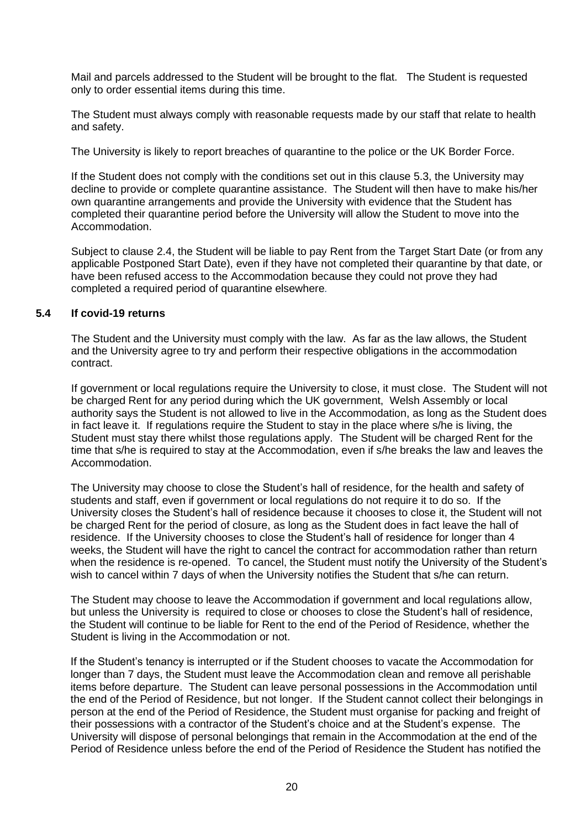Mail and parcels addressed to the Student will be brought to the flat. The Student is requested only to order essential items during this time.

The Student must always comply with reasonable requests made by our staff that relate to health and safety.

The University is likely to report breaches of quarantine to the police or the UK Border Force.

If the Student does not comply with the conditions set out in this clause 5.3, the University may decline to provide or complete quarantine assistance. The Student will then have to make his/her own quarantine arrangements and provide the University with evidence that the Student has completed their quarantine period before the University will allow the Student to move into the Accommodation.

Subject to clause 2.4, the Student will be liable to pay Rent from the Target Start Date (or from any applicable Postponed Start Date), even if they have not completed their quarantine by that date, or have been refused access to the Accommodation because they could not prove they had completed a required period of quarantine elsewhere*.* 

# **5.4 If covid-19 returns**

The Student and the University must comply with the law. As far as the law allows, the Student and the University agree to try and perform their respective obligations in the accommodation contract.

If government or local regulations require the University to close, it must close. The Student will not be charged Rent for any period during which the UK government, Welsh Assembly or local authority says the Student is not allowed to live in the Accommodation, as long as the Student does in fact leave it. If regulations require the Student to stay in the place where s/he is living, the Student must stay there whilst those regulations apply. The Student will be charged Rent for the time that s/he is required to stay at the Accommodation, even if s/he breaks the law and leaves the Accommodation.

The University may choose to close the Student's hall of residence, for the health and safety of students and staff, even if government or local regulations do not require it to do so. If the University closes the Student's hall of residence because it chooses to close it, the Student will not be charged Rent for the period of closure, as long as the Student does in fact leave the hall of residence. If the University chooses to close the Student's hall of residence for longer than 4 weeks, the Student will have the right to cancel the contract for accommodation rather than return when the residence is re-opened. To cancel, the Student must notify the University of the Student's wish to cancel within 7 days of when the University notifies the Student that s/he can return.

The Student may choose to leave the Accommodation if government and local regulations allow, but unless the University is required to close or chooses to close the Student's hall of residence, the Student will continue to be liable for Rent to the end of the Period of Residence, whether the Student is living in the Accommodation or not.

If the Student's tenancy is interrupted or if the Student chooses to vacate the Accommodation for longer than 7 days, the Student must leave the Accommodation clean and remove all perishable items before departure. The Student can leave personal possessions in the Accommodation until the end of the Period of Residence, but not longer. If the Student cannot collect their belongings in person at the end of the Period of Residence, the Student must organise for packing and freight of their possessions with a contractor of the Student's choice and at the Student's expense. The University will dispose of personal belongings that remain in the Accommodation at the end of the Period of Residence unless before the end of the Period of Residence the Student has notified the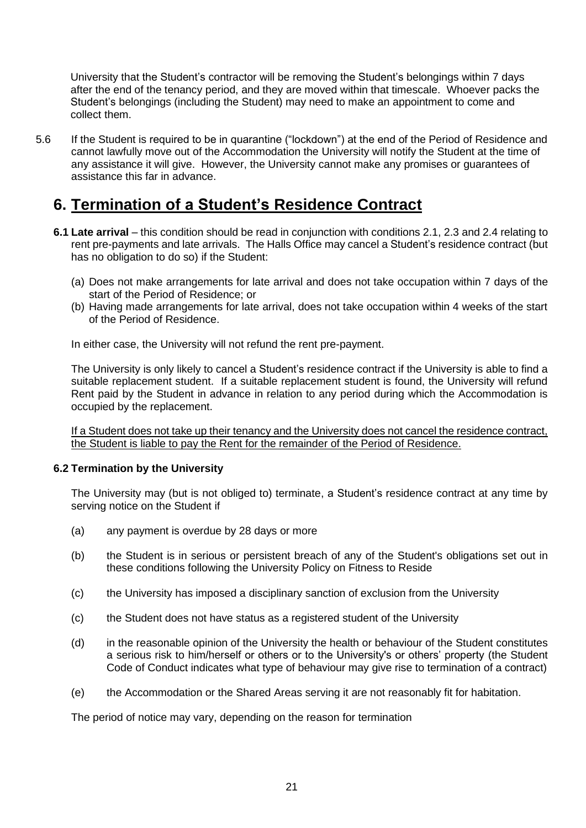University that the Student's contractor will be removing the Student's belongings within 7 days after the end of the tenancy period, and they are moved within that timescale. Whoever packs the Student's belongings (including the Student) may need to make an appointment to come and collect them.

5.6 If the Student is required to be in quarantine ("lockdown") at the end of the Period of Residence and cannot lawfully move out of the Accommodation the University will notify the Student at the time of any assistance it will give. However, the University cannot make any promises or guarantees of assistance this far in advance.

# **6. Termination of a Student's Residence Contract**

- **6.1 Late arrival**  this condition should be read in conjunction with conditions 2.1, 2.3 and 2.4 relating to rent pre-payments and late arrivals. The Halls Office may cancel a Student's residence contract (but has no obligation to do so) if the Student:
	- (a) Does not make arrangements for late arrival and does not take occupation within 7 days of the start of the Period of Residence; or
	- (b) Having made arrangements for late arrival, does not take occupation within 4 weeks of the start of the Period of Residence.

In either case, the University will not refund the rent pre-payment.

The University is only likely to cancel a Student's residence contract if the University is able to find a suitable replacement student. If a suitable replacement student is found, the University will refund Rent paid by the Student in advance in relation to any period during which the Accommodation is occupied by the replacement.

If a Student does not take up their tenancy and the University does not cancel the residence contract, the Student is liable to pay the Rent for the remainder of the Period of Residence.

# **6.2 Termination by the University**

The University may (but is not obliged to) terminate, a Student's residence contract at any time by serving notice on the Student if

- (a) any payment is overdue by 28 days or more
- (b) the Student is in serious or persistent breach of any of the Student's obligations set out in these conditions following the University Policy on Fitness to Reside
- (c) the University has imposed a disciplinary sanction of exclusion from the University
- (c) the Student does not have status as a registered student of the University
- (d) in the reasonable opinion of the University the health or behaviour of the Student constitutes a serious risk to him/herself or others or to the University's or others' property (the Student Code of Conduct indicates what type of behaviour may give rise to termination of a contract)
- (e) the Accommodation or the Shared Areas serving it are not reasonably fit for habitation.

The period of notice may vary, depending on the reason for termination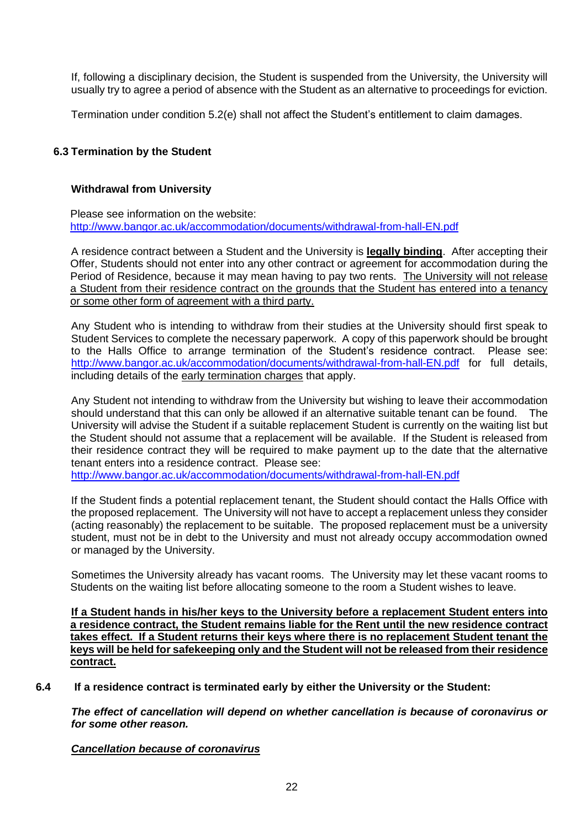If, following a disciplinary decision, the Student is suspended from the University, the University will usually try to agree a period of absence with the Student as an alternative to proceedings for eviction.

Termination under condition 5.2(e) shall not affect the Student's entitlement to claim damages.

# **6.3 Termination by the Student**

#### **Withdrawal from University**

Please see information on the website: <http://www.bangor.ac.uk/accommodation/documents/withdrawal-from-hall-EN.pdf>

A residence contract between a Student and the University is **legally binding**. After accepting their Offer, Students should not enter into any other contract or agreement for accommodation during the Period of Residence, because it may mean having to pay two rents. The University will not release a Student from their residence contract on the grounds that the Student has entered into a tenancy or some other form of agreement with a third party.

Any Student who is intending to withdraw from their studies at the University should first speak to Student Services to complete the necessary paperwork. A copy of this paperwork should be brought to the Halls Office to arrange termination of the Student's residence contract. Please see: <http://www.bangor.ac.uk/accommodation/documents/withdrawal-from-hall-EN.pdf> for full details, including details of the early termination charges that apply.

Any Student not intending to withdraw from the University but wishing to leave their accommodation should understand that this can only be allowed if an alternative suitable tenant can be found. The University will advise the Student if a suitable replacement Student is currently on the waiting list but the Student should not assume that a replacement will be available. If the Student is released from their residence contract they will be required to make payment up to the date that the alternative tenant enters into a residence contract. Please see:

<http://www.bangor.ac.uk/accommodation/documents/withdrawal-from-hall-EN.pdf>

If the Student finds a potential replacement tenant, the Student should contact the Halls Office with the proposed replacement. The University will not have to accept a replacement unless they consider (acting reasonably) the replacement to be suitable. The proposed replacement must be a university student, must not be in debt to the University and must not already occupy accommodation owned or managed by the University.

Sometimes the University already has vacant rooms. The University may let these vacant rooms to Students on the waiting list before allocating someone to the room a Student wishes to leave.

**If a Student hands in his/her keys to the University before a replacement Student enters into a residence contract, the Student remains liable for the Rent until the new residence contract takes effect. If a Student returns their keys where there is no replacement Student tenant the keys will be held for safekeeping only and the Student will not be released from their residence contract.**

#### **6.4 If a residence contract is terminated early by either the University or the Student:**

*The effect of cancellation will depend on whether cancellation is because of coronavirus or for some other reason.* 

*Cancellation because of coronavirus*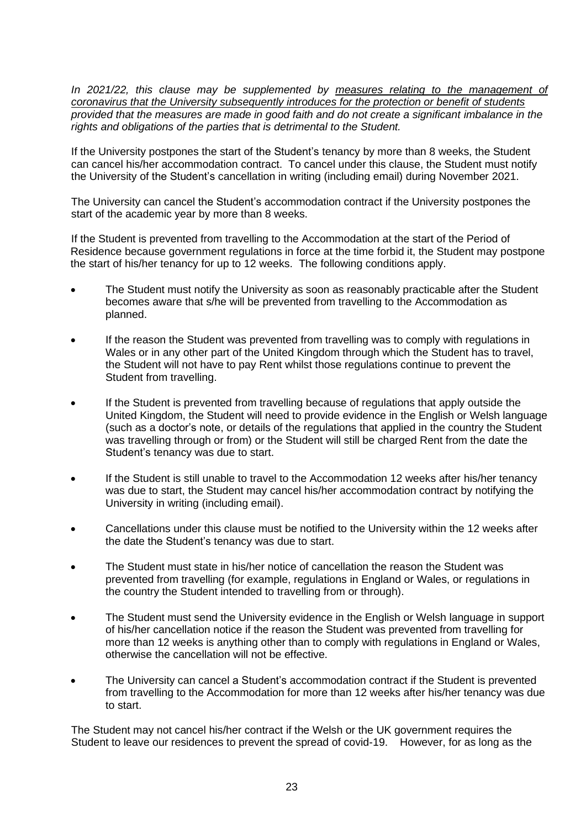*In 2021/22, this clause may be supplemented by measures relating to the management of coronavirus that the University subsequently introduces for the protection or benefit of students provided that the measures are made in good faith and do not create a significant imbalance in the rights and obligations of the parties that is detrimental to the Student.*

If the University postpones the start of the Student's tenancy by more than 8 weeks, the Student can cancel his/her accommodation contract. To cancel under this clause, the Student must notify the University of the Student's cancellation in writing (including email) during November 2021.

The University can cancel the Student's accommodation contract if the University postpones the start of the academic year by more than 8 weeks.

If the Student is prevented from travelling to the Accommodation at the start of the Period of Residence because government regulations in force at the time forbid it, the Student may postpone the start of his/her tenancy for up to 12 weeks. The following conditions apply.

- The Student must notify the University as soon as reasonably practicable after the Student becomes aware that s/he will be prevented from travelling to the Accommodation as planned.
- If the reason the Student was prevented from travelling was to comply with regulations in Wales or in any other part of the United Kingdom through which the Student has to travel, the Student will not have to pay Rent whilst those regulations continue to prevent the Student from travelling.
- If the Student is prevented from travelling because of regulations that apply outside the United Kingdom, the Student will need to provide evidence in the English or Welsh language (such as a doctor's note, or details of the regulations that applied in the country the Student was travelling through or from) or the Student will still be charged Rent from the date the Student's tenancy was due to start.
- If the Student is still unable to travel to the Accommodation 12 weeks after his/her tenancy was due to start, the Student may cancel his/her accommodation contract by notifying the University in writing (including email).
- Cancellations under this clause must be notified to the University within the 12 weeks after the date the Student's tenancy was due to start.
- The Student must state in his/her notice of cancellation the reason the Student was prevented from travelling (for example, regulations in England or Wales, or regulations in the country the Student intended to travelling from or through).
- The Student must send the University evidence in the English or Welsh language in support of his/her cancellation notice if the reason the Student was prevented from travelling for more than 12 weeks is anything other than to comply with regulations in England or Wales, otherwise the cancellation will not be effective.
- The University can cancel a Student's accommodation contract if the Student is prevented from travelling to the Accommodation for more than 12 weeks after his/her tenancy was due to start.

The Student may not cancel his/her contract if the Welsh or the UK government requires the Student to leave our residences to prevent the spread of covid-19. However, for as long as the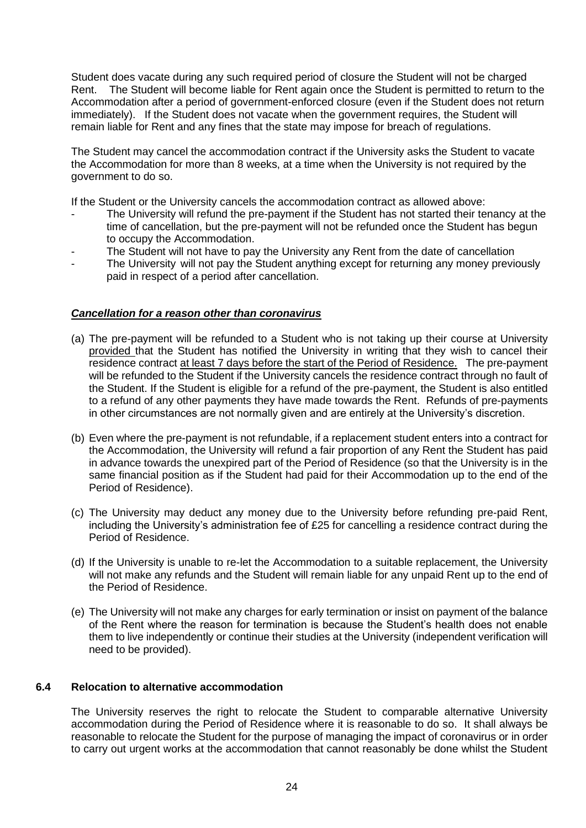Student does vacate during any such required period of closure the Student will not be charged Rent. The Student will become liable for Rent again once the Student is permitted to return to the Accommodation after a period of government-enforced closure (even if the Student does not return immediately). If the Student does not vacate when the government requires, the Student will remain liable for Rent and any fines that the state may impose for breach of regulations.

The Student may cancel the accommodation contract if the University asks the Student to vacate the Accommodation for more than 8 weeks, at a time when the University is not required by the government to do so.

If the Student or the University cancels the accommodation contract as allowed above:

- The University will refund the pre-payment if the Student has not started their tenancy at the time of cancellation, but the pre-payment will not be refunded once the Student has begun to occupy the Accommodation.
- The Student will not have to pay the University any Rent from the date of cancellation
- The University will not pay the Student anything except for returning any money previously paid in respect of a period after cancellation.

# *Cancellation for a reason other than coronavirus*

- (a) The pre-payment will be refunded to a Student who is not taking up their course at University provided that the Student has notified the University in writing that they wish to cancel their residence contract at least 7 days before the start of the Period of Residence. The pre-payment will be refunded to the Student if the University cancels the residence contract through no fault of the Student. If the Student is eligible for a refund of the pre-payment, the Student is also entitled to a refund of any other payments they have made towards the Rent. Refunds of pre-payments in other circumstances are not normally given and are entirely at the University's discretion.
- (b) Even where the pre-payment is not refundable, if a replacement student enters into a contract for the Accommodation, the University will refund a fair proportion of any Rent the Student has paid in advance towards the unexpired part of the Period of Residence (so that the University is in the same financial position as if the Student had paid for their Accommodation up to the end of the Period of Residence).
- (c) The University may deduct any money due to the University before refunding pre-paid Rent, including the University's administration fee of £25 for cancelling a residence contract during the Period of Residence.
- (d) If the University is unable to re-let the Accommodation to a suitable replacement, the University will not make any refunds and the Student will remain liable for any unpaid Rent up to the end of the Period of Residence.
- (e) The University will not make any charges for early termination or insist on payment of the balance of the Rent where the reason for termination is because the Student's health does not enable them to live independently or continue their studies at the University (independent verification will need to be provided).

# **6.4 Relocation to alternative accommodation**

The University reserves the right to relocate the Student to comparable alternative University accommodation during the Period of Residence where it is reasonable to do so. It shall always be reasonable to relocate the Student for the purpose of managing the impact of coronavirus or in order to carry out urgent works at the accommodation that cannot reasonably be done whilst the Student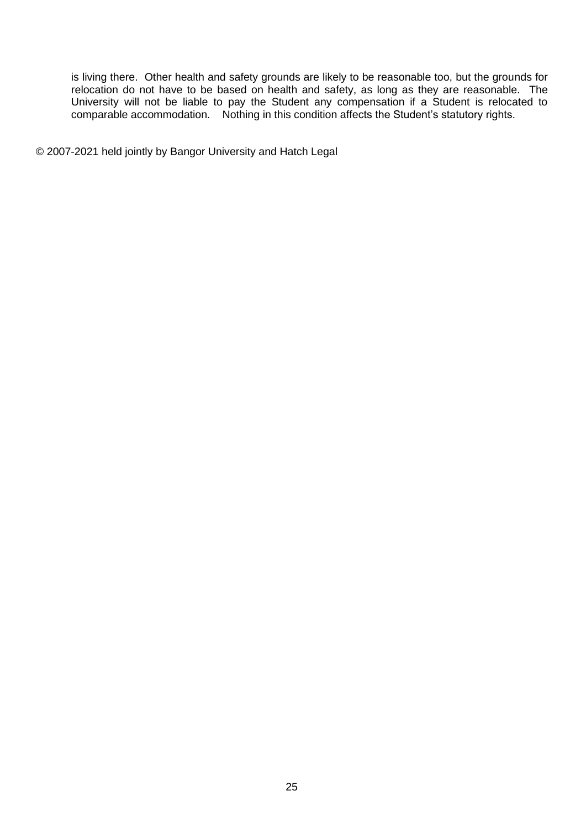is living there. Other health and safety grounds are likely to be reasonable too, but the grounds for relocation do not have to be based on health and safety, as long as they are reasonable. The University will not be liable to pay the Student any compensation if a Student is relocated to comparable accommodation. Nothing in this condition affects the Student's statutory rights.

© 2007-2021 held jointly by Bangor University and Hatch Legal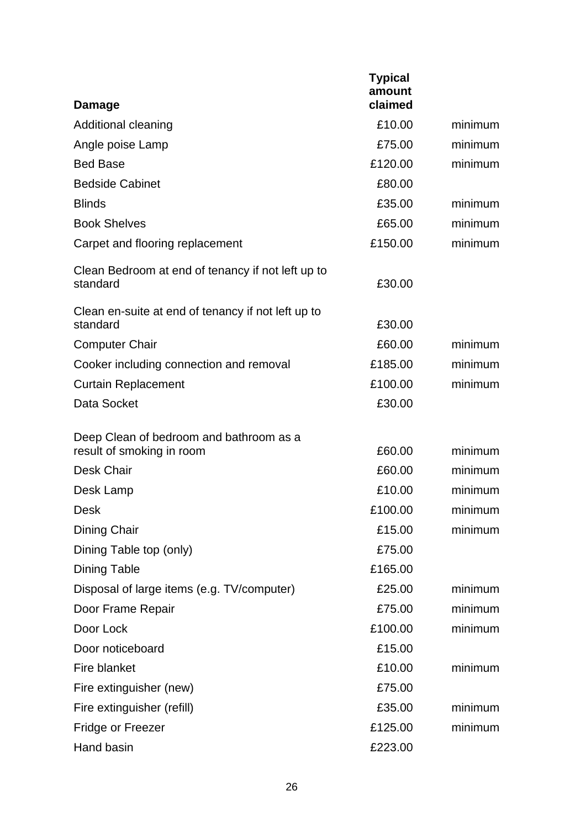| <b>Damage</b>                                                        | <b>Typical</b><br>amount<br>claimed |         |
|----------------------------------------------------------------------|-------------------------------------|---------|
| Additional cleaning                                                  | £10.00                              | minimum |
| Angle poise Lamp                                                     | £75.00                              | minimum |
| <b>Bed Base</b>                                                      | £120.00                             | minimum |
| <b>Bedside Cabinet</b>                                               | £80.00                              |         |
| <b>Blinds</b>                                                        | £35.00                              | minimum |
| <b>Book Shelves</b>                                                  | £65.00                              | minimum |
| Carpet and flooring replacement                                      | £150.00                             | minimum |
| Clean Bedroom at end of tenancy if not left up to<br>standard        | £30.00                              |         |
| Clean en-suite at end of tenancy if not left up to<br>standard       | £30.00                              |         |
| <b>Computer Chair</b>                                                | £60.00                              | minimum |
| Cooker including connection and removal                              | £185.00                             | minimum |
| <b>Curtain Replacement</b>                                           | £100.00                             | minimum |
| Data Socket                                                          | £30.00                              |         |
| Deep Clean of bedroom and bathroom as a<br>result of smoking in room | £60.00                              | minimum |
| <b>Desk Chair</b>                                                    | £60.00                              | minimum |
| Desk Lamp                                                            | £10.00                              | minimum |
| Desk                                                                 | £100.00                             | minimum |
| Dining Chair                                                         | £15.00                              | minimum |
| Dining Table top (only)                                              | £75.00                              |         |
| <b>Dining Table</b>                                                  | £165.00                             |         |
| Disposal of large items (e.g. TV/computer)                           | £25.00                              | minimum |
| Door Frame Repair                                                    | £75.00                              | minimum |
| Door Lock                                                            | £100.00                             | minimum |
| Door noticeboard                                                     | £15.00                              |         |
| Fire blanket                                                         | £10.00                              | minimum |
| Fire extinguisher (new)                                              | £75.00                              |         |
| Fire extinguisher (refill)                                           | £35.00                              | minimum |
| Fridge or Freezer                                                    | £125.00                             | minimum |
| Hand basin                                                           | £223.00                             |         |